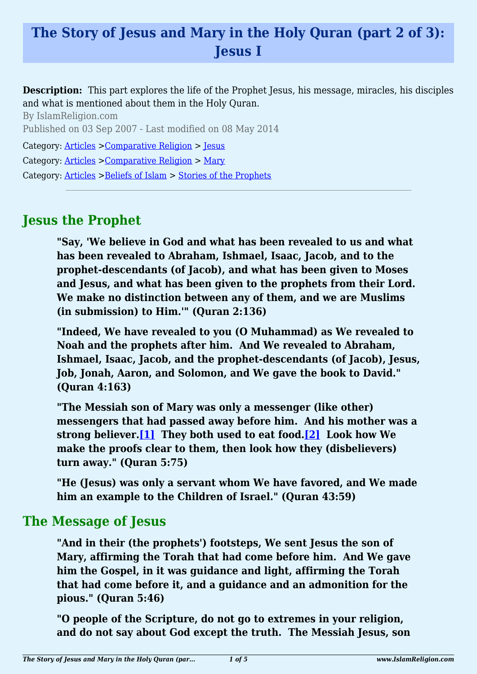# **The Story of Jesus and Mary in the Holy Quran (part 2 of 3): Jesus I**

**Description:** This part explores the life of the Prophet Jesus, his message, miracles, his disciples and what is mentioned about them in the Holy Quran.

By IslamReligion.com Published on 03 Sep 2007 - Last modified on 08 May 2014 Category: [Articles](http://www.islamreligion.com/articles/) >[Comparative Religion](http://www.islamreligion.com/category/68/) > [Jesus](http://www.islamreligion.com/category/69/) Category: [Articles](http://www.islamreligion.com/articles/) >[Comparative Religion](http://www.islamreligion.com/category/68/) > [Mary](http://www.islamreligion.com/category/115/) Category: [Articles](http://www.islamreligion.com/articles/) >[Beliefs of Islam](http://www.islamreligion.com/category/48/) > [Stories of the Prophets](http://www.islamreligion.com/category/53/)

# **Jesus the Prophet**

**"Say, 'We believe in God and what has been revealed to us and what has been revealed to Abraham, Ishmael, Isaac, Jacob, and to the prophet-descendants (of Jacob), and what has been given to Moses and Jesus, and what has been given to the prophets from their Lord. We make no distinction between any of them, and we are Muslims (in submission) to Him.'" (Quran 2:136)**

**"Indeed, We have revealed to you (O Muhammad) as We revealed to Noah and the prophets after him. And We revealed to Abraham, Ishmael, Isaac, Jacob, and the prophet-descendants (of Jacob), Jesus, Job, Jonah, Aaron, and Solomon, and We gave the book to David." (Quran 4:163)**

<span id="page-0-0"></span>**"The Messiah son of Mary was only a messenger (like other) messengers that had passed away before him. And his mother was a strong believer.[\[1\]](#page-2-0) They both used to eat food[.\[2\]](#page-3-0) Look how We make the proofs clear to them, then look how they (disbelievers) turn away." (Quran 5:75)**

**"He (Jesus) was only a servant whom We have favored, and We made him an example to the Children of Israel." (Quran 43:59)**

### **The Message of Jesus**

**"And in their (the prophets') footsteps, We sent Jesus the son of Mary, affirming the Torah that had come before him. And We gave him the Gospel, in it was guidance and light, affirming the Torah that had come before it, and a guidance and an admonition for the pious." (Quran 5:46)**

**"O people of the Scripture, do not go to extremes in your religion, and do not say about God except the truth. The Messiah Jesus, son**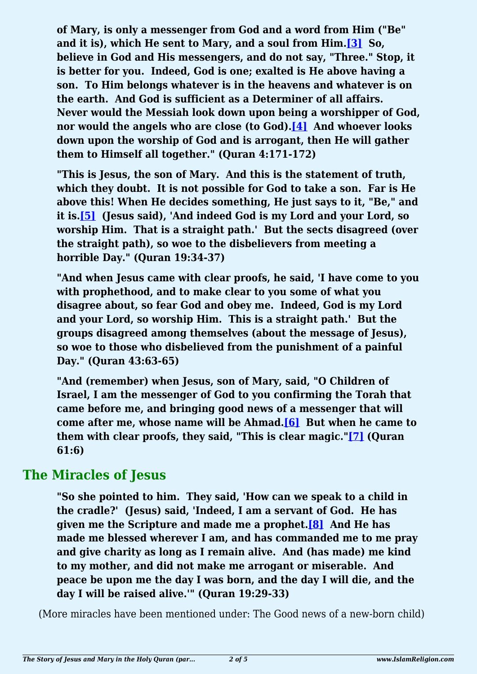<span id="page-1-0"></span>**of Mary, is only a messenger from God and a word from Him ("Be" and it is), which He sent to Mary, and a soul from Him.[\[3\]](#page-3-1) So, believe in God and His messengers, and do not say, "Three." Stop, it is better for you. Indeed, God is one; exalted is He above having a son. To Him belongs whatever is in the heavens and whatever is on the earth. And God is sufficient as a Determiner of all affairs. Never would the Messiah look down upon being a worshipper of God, nor would the angels who are close (to God)[.\[4\]](#page-3-2) And whoever looks down upon the worship of God and is arrogant, then He will gather them to Himself all together." (Quran 4:171-172)**

<span id="page-1-2"></span><span id="page-1-1"></span>**"This is Jesus, the son of Mary. And this is the statement of truth, which they doubt. It is not possible for God to take a son. Far is He above this! When He decides something, He just says to it, "Be," and it is.[\[5\]](#page-3-3) (Jesus said), 'And indeed God is my Lord and your Lord, so worship Him. That is a straight path.' But the sects disagreed (over the straight path), so woe to the disbelievers from meeting a horrible Day." (Quran 19:34-37)**

**"And when Jesus came with clear proofs, he said, 'I have come to you with prophethood, and to make clear to you some of what you disagree about, so fear God and obey me. Indeed, God is my Lord and your Lord, so worship Him. This is a straight path.' But the groups disagreed among themselves (about the message of Jesus), so woe to those who disbelieved from the punishment of a painful Day." (Quran 43:63-65)**

**"And (remember) when Jesus, son of Mary, said, "O Children of Israel, I am the messenger of God to you confirming the Torah that came before me, and bringing good news of a messenger that will come after me, whose name will be Ahmad.[\[6\]](#page-3-4) But when he came to them with clear proofs, they said, "This is clear magic."[\[7\]](#page-3-5) (Quran 61:6)**

# <span id="page-1-5"></span><span id="page-1-4"></span><span id="page-1-3"></span>**The Miracles of Jesus**

**"So she pointed to him. They said, 'How can we speak to a child in the cradle?' (Jesus) said, 'Indeed, I am a servant of God. He has given me the Scripture and made me a prophet.[\[8\]](#page-3-6) And He has made me blessed wherever I am, and has commanded me to me pray and give charity as long as I remain alive. And (has made) me kind to my mother, and did not make me arrogant or miserable. And peace be upon me the day I was born, and the day I will die, and the day I will be raised alive.'" (Quran 19:29-33)**

(More miracles have been mentioned under: The Good news of a new-born child)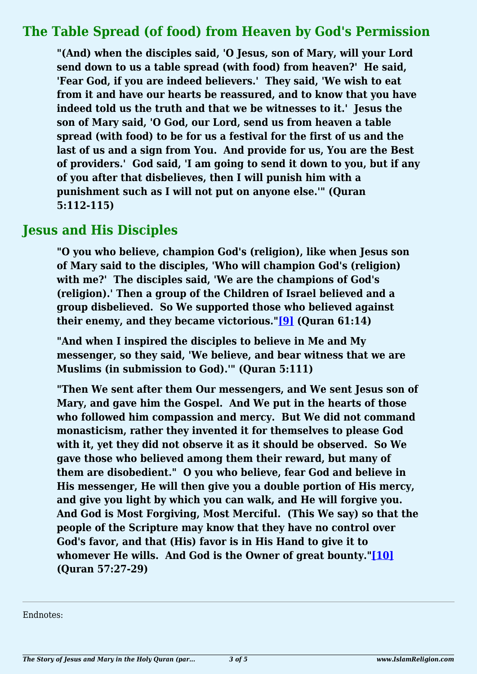### **The Table Spread (of food) from Heaven by God's Permission**

**"(And) when the disciples said, 'O Jesus, son of Mary, will your Lord send down to us a table spread (with food) from heaven?' He said, 'Fear God, if you are indeed believers.' They said, 'We wish to eat from it and have our hearts be reassured, and to know that you have indeed told us the truth and that we be witnesses to it.' Jesus the son of Mary said, 'O God, our Lord, send us from heaven a table spread (with food) to be for us a festival for the first of us and the last of us and a sign from You. And provide for us, You are the Best of providers.' God said, 'I am going to send it down to you, but if any of you after that disbelieves, then I will punish him with a punishment such as I will not put on anyone else.'" (Quran 5:112-115)**

### **Jesus and His Disciples**

**"O you who believe, champion God's (religion), like when Jesus son of Mary said to the disciples, 'Who will champion God's (religion) with me?' The disciples said, 'We are the champions of God's (religion).' Then a group of the Children of Israel believed and a group disbelieved. So We supported those who believed against their enemy, and they became victorious."[\[9\]](#page-3-7) (Quran 61:14)**

<span id="page-2-1"></span>**"And when I inspired the disciples to believe in Me and My messenger, so they said, 'We believe, and bear witness that we are Muslims (in submission to God).'" (Quran 5:111)**

**"Then We sent after them Our messengers, and We sent Jesus son of Mary, and gave him the Gospel. And We put in the hearts of those who followed him compassion and mercy. But We did not command monasticism, rather they invented it for themselves to please God with it, yet they did not observe it as it should be observed. So We gave those who believed among them their reward, but many of them are disobedient." O you who believe, fear God and believe in His messenger, He will then give you a double portion of His mercy, and give you light by which you can walk, and He will forgive you. And God is Most Forgiving, Most Merciful. (This We say) so that the people of the Scripture may know that they have no control over God's favor, and that (His) favor is in His Hand to give it to whomever He wills. And God is the Owner of great bounty.["\[10\]](#page-3-8) (Quran 57:27-29)**

<span id="page-2-2"></span><span id="page-2-0"></span>Endnotes: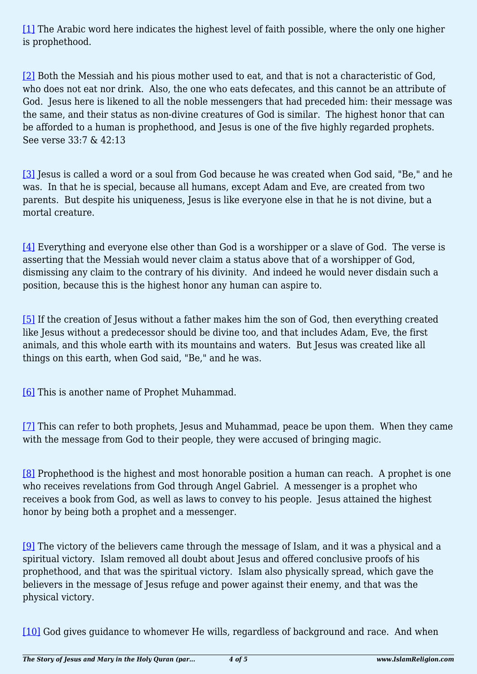[\[1\]](#page-0-0) The Arabic word here indicates the highest level of faith possible, where the only one higher is prophethood.

<span id="page-3-0"></span>[\[2\]](#page-0-0) Both the Messiah and his pious mother used to eat, and that is not a characteristic of God, who does not eat nor drink. Also, the one who eats defecates, and this cannot be an attribute of God. Jesus here is likened to all the noble messengers that had preceded him: their message was the same, and their status as non-divine creatures of God is similar. The highest honor that can be afforded to a human is prophethood, and Jesus is one of the five highly regarded prophets. See verse 33:7 & 42:13

<span id="page-3-1"></span>[\[3\]](#page-1-0) Jesus is called a word or a soul from God because he was created when God said, "Be," and he was. In that he is special, because all humans, except Adam and Eve, are created from two parents. But despite his uniqueness, Jesus is like everyone else in that he is not divine, but a mortal creature.

<span id="page-3-2"></span>[\[4\]](#page-1-1) Everything and everyone else other than God is a worshipper or a slave of God. The verse is asserting that the Messiah would never claim a status above that of a worshipper of God, dismissing any claim to the contrary of his divinity. And indeed he would never disdain such a position, because this is the highest honor any human can aspire to.

<span id="page-3-3"></span>[\[5\]](#page-1-2) If the creation of Jesus without a father makes him the son of God, then everything created like Jesus without a predecessor should be divine too, and that includes Adam, Eve, the first animals, and this whole earth with its mountains and waters. But Jesus was created like all things on this earth, when God said, "Be," and he was.

<span id="page-3-4"></span>[\[6\]](#page-1-3) This is another name of Prophet Muhammad.

<span id="page-3-5"></span>[\[7\]](#page-1-4) This can refer to both prophets, Jesus and Muhammad, peace be upon them. When they came with the message from God to their people, they were accused of bringing magic.

<span id="page-3-6"></span>[\[8\]](#page-1-5) Prophethood is the highest and most honorable position a human can reach. A prophet is one who receives revelations from God through Angel Gabriel. A messenger is a prophet who receives a book from God, as well as laws to convey to his people. Jesus attained the highest honor by being both a prophet and a messenger.

<span id="page-3-7"></span>[\[9\]](#page-2-1) The victory of the believers came through the message of Islam, and it was a physical and a spiritual victory. Islam removed all doubt about Jesus and offered conclusive proofs of his prophethood, and that was the spiritual victory. Islam also physically spread, which gave the believers in the message of Jesus refuge and power against their enemy, and that was the physical victory.

<span id="page-3-8"></span>[\[10\]](#page-2-2) God gives guidance to whomever He wills, regardless of background and race. And when